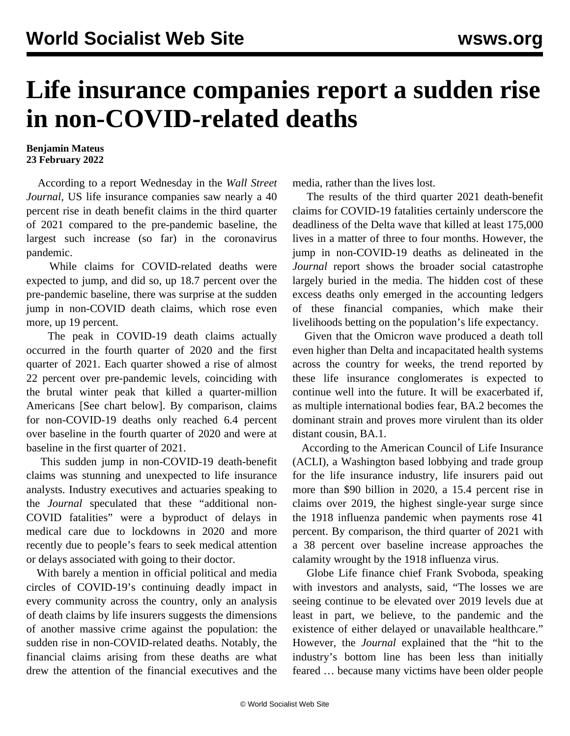## **Life insurance companies report a sudden rise in non-COVID-related deaths**

## **Benjamin Mateus 23 February 2022**

 According to a report Wednesday in the *Wall Street Journal,* US life insurance companies saw nearly a 40 percent rise in death benefit claims in the third quarter of 2021 compared to the pre-pandemic baseline, the largest such increase (so far) in the coronavirus pandemic.

 While claims for COVID-related deaths were expected to jump, and did so, up 18.7 percent over the pre-pandemic baseline, there was surprise at the sudden jump in non-COVID death claims, which rose even more, up 19 percent.

 The peak in COVID-19 death claims actually occurred in the fourth quarter of 2020 and the first quarter of 2021. Each quarter showed a rise of almost 22 percent over pre-pandemic levels, coinciding with the brutal winter peak that killed a quarter-million Americans [See chart below]. By comparison, claims for non-COVID-19 deaths only reached 6.4 percent over baseline in the fourth quarter of 2020 and were at baseline in the first quarter of 2021.

 This sudden jump in non-COVID-19 death-benefit claims was stunning and unexpected to life insurance analysts. Industry executives and actuaries speaking to the *Journal* speculated that these "additional non-COVID fatalities" were a byproduct of delays in medical care due to lockdowns in 2020 and more recently due to people's fears to seek medical attention or delays associated with going to their doctor.

 With barely a mention in official political and media circles of COVID-19's continuing deadly impact in every community across the country, only an analysis of death claims by life insurers suggests the dimensions of another massive crime against the population: the sudden rise in non-COVID-related deaths. Notably, the financial claims arising from these deaths are what drew the attention of the financial executives and the

media, rather than the lives lost.

 The results of the third quarter 2021 death-benefit claims for COVID-19 fatalities certainly underscore the deadliness of the Delta wave that killed at least 175,000 lives in a matter of three to four months. However, the jump in non-COVID-19 deaths as delineated in the *Journal* report shows the broader social catastrophe largely buried in the media. The hidden cost of these excess deaths only emerged in the accounting ledgers of these financial companies, which make their livelihoods betting on the population's life expectancy.

 Given that the Omicron wave produced a death toll even higher than Delta and incapacitated health systems across the country for weeks, the trend reported by these life insurance conglomerates is expected to continue well into the future. It will be exacerbated if, as multiple international bodies fear, BA.2 becomes the dominant strain and proves more virulent than its older distant cousin, BA.1.

 According to the American Council of Life Insurance (ACLI), a Washington based lobbying and trade group for the life insurance industry, life insurers paid out more than \$90 billion in 2020, a 15.4 percent rise in claims over 2019, the highest single-year surge since the 1918 influenza pandemic when payments rose 41 percent. By comparison, the third quarter of 2021 with a 38 percent over baseline increase approaches the calamity wrought by the 1918 influenza virus.

 Globe Life finance chief Frank Svoboda, speaking with investors and analysts, said, "The losses we are seeing continue to be elevated over 2019 levels due at least in part, we believe, to the pandemic and the existence of either delayed or unavailable healthcare." However, the *Journal* explained that the "hit to the industry's bottom line has been less than initially feared … because many victims have been older people